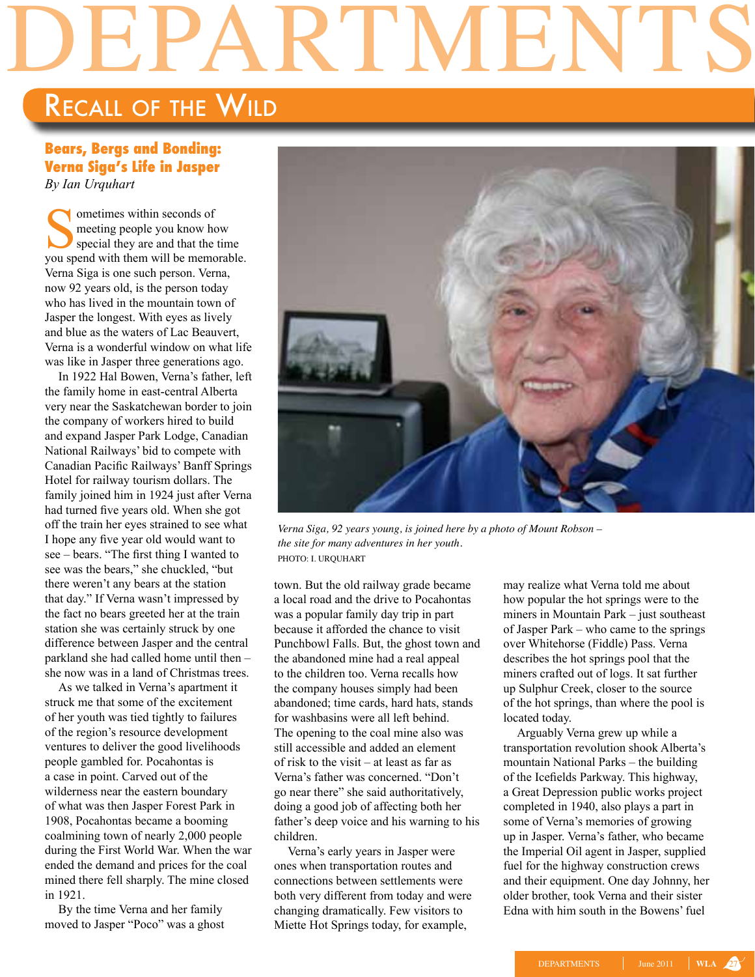## DEPARTMENTS

## Recall of the Wild

## **Bears, Bergs and Bonding: Verna Siga's Life in Jasper** *By Ian Urquhart*

**Sometimes within seconds of**<br>meeting people you know how be<br>special they are and that the<br>vou spend with them will be memo meeting people you know how special they are and that the time you spend with them will be memorable. Verna Siga is one such person. Verna, now 92 years old, is the person today who has lived in the mountain town of Jasper the longest. With eyes as lively and blue as the waters of Lac Beauvert, Verna is a wonderful window on what life was like in Jasper three generations ago.

In 1922 Hal Bowen, Verna's father, left the family home in east-central Alberta very near the Saskatchewan border to join the company of workers hired to build and expand Jasper Park Lodge, Canadian National Railways' bid to compete with Canadian Pacific Railways' Banff Springs Hotel for railway tourism dollars. The family joined him in 1924 just after Verna had turned five years old. When she got off the train her eyes strained to see what I hope any five year old would want to see – bears. "The first thing I wanted to see was the bears," she chuckled, "but there weren't any bears at the station that day." If Verna wasn't impressed by the fact no bears greeted her at the train station she was certainly struck by one difference between Jasper and the central parkland she had called home until then – she now was in a land of Christmas trees.

As we talked in Verna's apartment it struck me that some of the excitement of her youth was tied tightly to failures of the region's resource development ventures to deliver the good livelihoods people gambled for. Pocahontas is a case in point. Carved out of the wilderness near the eastern boundary of what was then Jasper Forest Park in 1908, Pocahontas became a booming coalmining town of nearly 2,000 people during the First World War. When the war ended the demand and prices for the coal mined there fell sharply. The mine closed in 1921.

By the time Verna and her family moved to Jasper "Poco" was a ghost



*Verna Siga, 92 years young, is joined here by a photo of Mount Robson – the site for many adventures in her youth.* photo: I. Urquhart

town. But the old railway grade became a local road and the drive to Pocahontas was a popular family day trip in part because it afforded the chance to visit Punchbowl Falls. But, the ghost town and the abandoned mine had a real appeal to the children too. Verna recalls how the company houses simply had been abandoned; time cards, hard hats, stands for washbasins were all left behind. The opening to the coal mine also was still accessible and added an element of risk to the visit – at least as far as Verna's father was concerned. "Don't go near there" she said authoritatively, doing a good job of affecting both her father's deep voice and his warning to his children.

Verna's early years in Jasper were ones when transportation routes and connections between settlements were both very different from today and were changing dramatically. Few visitors to Miette Hot Springs today, for example,

may realize what Verna told me about how popular the hot springs were to the miners in Mountain Park – just southeast of Jasper Park – who came to the springs over Whitehorse (Fiddle) Pass. Verna describes the hot springs pool that the miners crafted out of logs. It sat further up Sulphur Creek, closer to the source of the hot springs, than where the pool is located today.

Arguably Verna grew up while a transportation revolution shook Alberta's mountain National Parks – the building of the Icefields Parkway. This highway, a Great Depression public works project completed in 1940, also plays a part in some of Verna's memories of growing up in Jasper. Verna's father, who became the Imperial Oil agent in Jasper, supplied fuel for the highway construction crews and their equipment. One day Johnny, her older brother, took Verna and their sister Edna with him south in the Bowens' fuel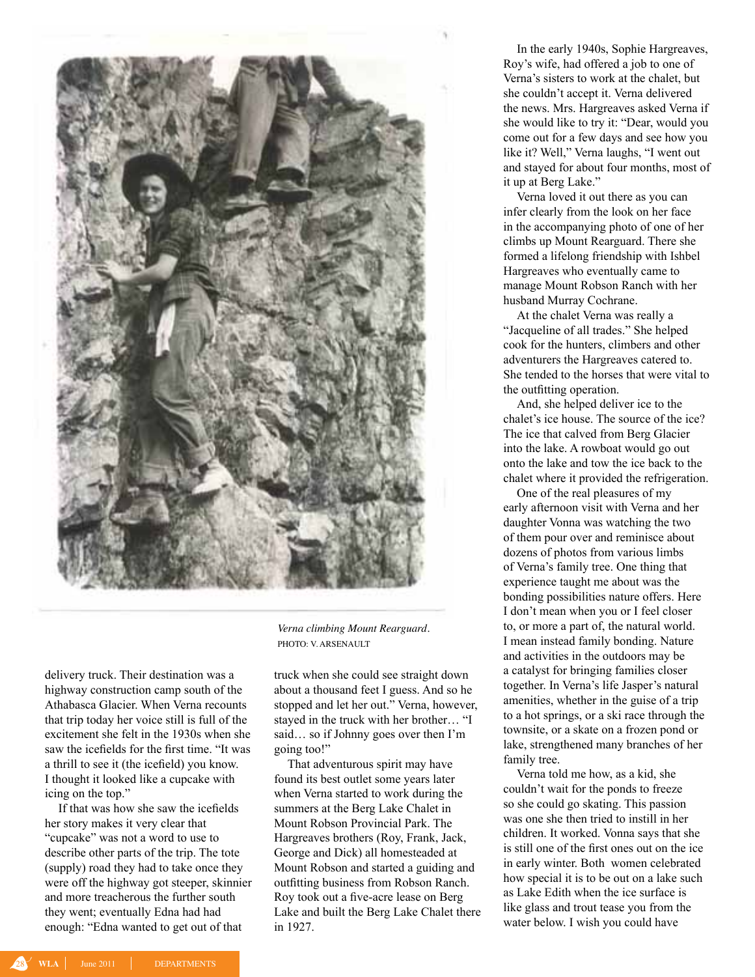

delivery truck. Their destination was a highway construction camp south of the Athabasca Glacier. When Verna recounts that trip today her voice still is full of the excitement she felt in the 1930s when she saw the icefields for the first time. "It was a thrill to see it (the icefield) you know. I thought it looked like a cupcake with icing on the top."

If that was how she saw the icefields her story makes it very clear that "cupcake" was not a word to use to describe other parts of the trip. The tote (supply) road they had to take once they were off the highway got steeper, skinnier and more treacherous the further south they went; eventually Edna had had enough: "Edna wanted to get out of that

*Verna climbing Mount Rearguard.* photo: V. ARSENAULT

truck when she could see straight down about a thousand feet I guess. And so he stopped and let her out." Verna, however, stayed in the truck with her brother… "I said… so if Johnny goes over then I'm going too!"

That adventurous spirit may have found its best outlet some years later when Verna started to work during the summers at the Berg Lake Chalet in Mount Robson Provincial Park. The Hargreaves brothers (Roy, Frank, Jack, George and Dick) all homesteaded at Mount Robson and started a guiding and outfitting business from Robson Ranch. Roy took out a five-acre lease on Berg Lake and built the Berg Lake Chalet there in 1927.

In the early 1940s, Sophie Hargreaves, Roy's wife, had offered a job to one of Verna's sisters to work at the chalet, but she couldn't accept it. Verna delivered the news. Mrs. Hargreaves asked Verna if she would like to try it: "Dear, would you come out for a few days and see how you like it? Well," Verna laughs, "I went out and stayed for about four months, most of it up at Berg Lake."

Verna loved it out there as you can infer clearly from the look on her face in the accompanying photo of one of her climbs up Mount Rearguard. There she formed a lifelong friendship with Ishbel Hargreaves who eventually came to manage Mount Robson Ranch with her husband Murray Cochrane.

At the chalet Verna was really a "Jacqueline of all trades." She helped cook for the hunters, climbers and other adventurers the Hargreaves catered to. She tended to the horses that were vital to the outfitting operation.

And, she helped deliver ice to the chalet's ice house. The source of the ice? The ice that calved from Berg Glacier into the lake. A rowboat would go out onto the lake and tow the ice back to the chalet where it provided the refrigeration.

One of the real pleasures of my early afternoon visit with Verna and her daughter Vonna was watching the two of them pour over and reminisce about dozens of photos from various limbs of Verna's family tree. One thing that experience taught me about was the bonding possibilities nature offers. Here I don't mean when you or I feel closer to, or more a part of, the natural world. I mean instead family bonding. Nature and activities in the outdoors may be a catalyst for bringing families closer together. In Verna's life Jasper's natural amenities, whether in the guise of a trip to a hot springs, or a ski race through the townsite, or a skate on a frozen pond or lake, strengthened many branches of her family tree.

Verna told me how, as a kid, she couldn't wait for the ponds to freeze so she could go skating. This passion was one she then tried to instill in her children. It worked. Vonna says that she is still one of the first ones out on the ice in early winter. Both women celebrated how special it is to be out on a lake such as Lake Edith when the ice surface is like glass and trout tease you from the water below. I wish you could have